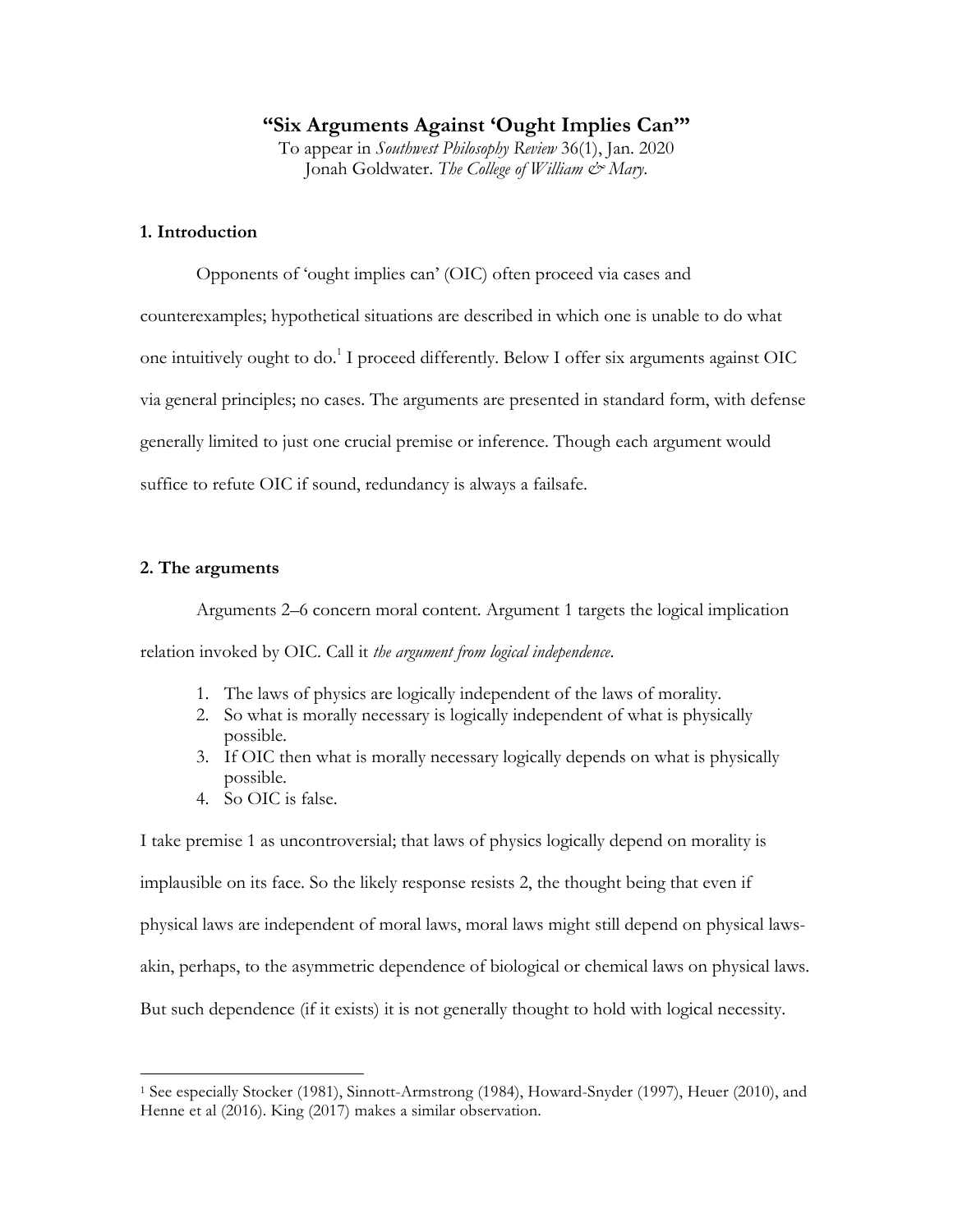## **"Six Arguments Against 'Ought Implies Can'"**

To appear in *Southwest Philosophy Review* 36(1), Jan. 2020 Jonah Goldwater. *The College of William & Mary*.

## **1. Introduction**

Opponents of 'ought implies can' (OIC) often proceed via cases and counterexamples; hypothetical situations are described in which one is unable to do what one intuitively ought to do.<sup>1</sup> I proceed differently. Below I offer six arguments against OIC via general principles; no cases. The arguments are presented in standard form, with defense generally limited to just one crucial premise or inference. Though each argument would suffice to refute OIC if sound, redundancy is always a failsafe.

## **2. The arguments**

 $\overline{a}$ 

Arguments 2–6 concern moral content. Argument 1 targets the logical implication relation invoked by OIC. Call it *the argument from logical independence*.

- 1. The laws of physics are logically independent of the laws of morality.
- 2. So what is morally necessary is logically independent of what is physically possible.
- 3. If OIC then what is morally necessary logically depends on what is physically possible.
- 4. So OIC is false.

I take premise 1 as uncontroversial; that laws of physics logically depend on morality is implausible on its face. So the likely response resists 2, the thought being that even if physical laws are independent of moral laws, moral laws might still depend on physical lawsakin, perhaps, to the asymmetric dependence of biological or chemical laws on physical laws. But such dependence (if it exists) it is not generally thought to hold with logical necessity.

<sup>1</sup> See especially Stocker (1981), Sinnott-Armstrong (1984), Howard-Snyder (1997), Heuer (2010), and Henne et al (2016). King (2017) makes a similar observation.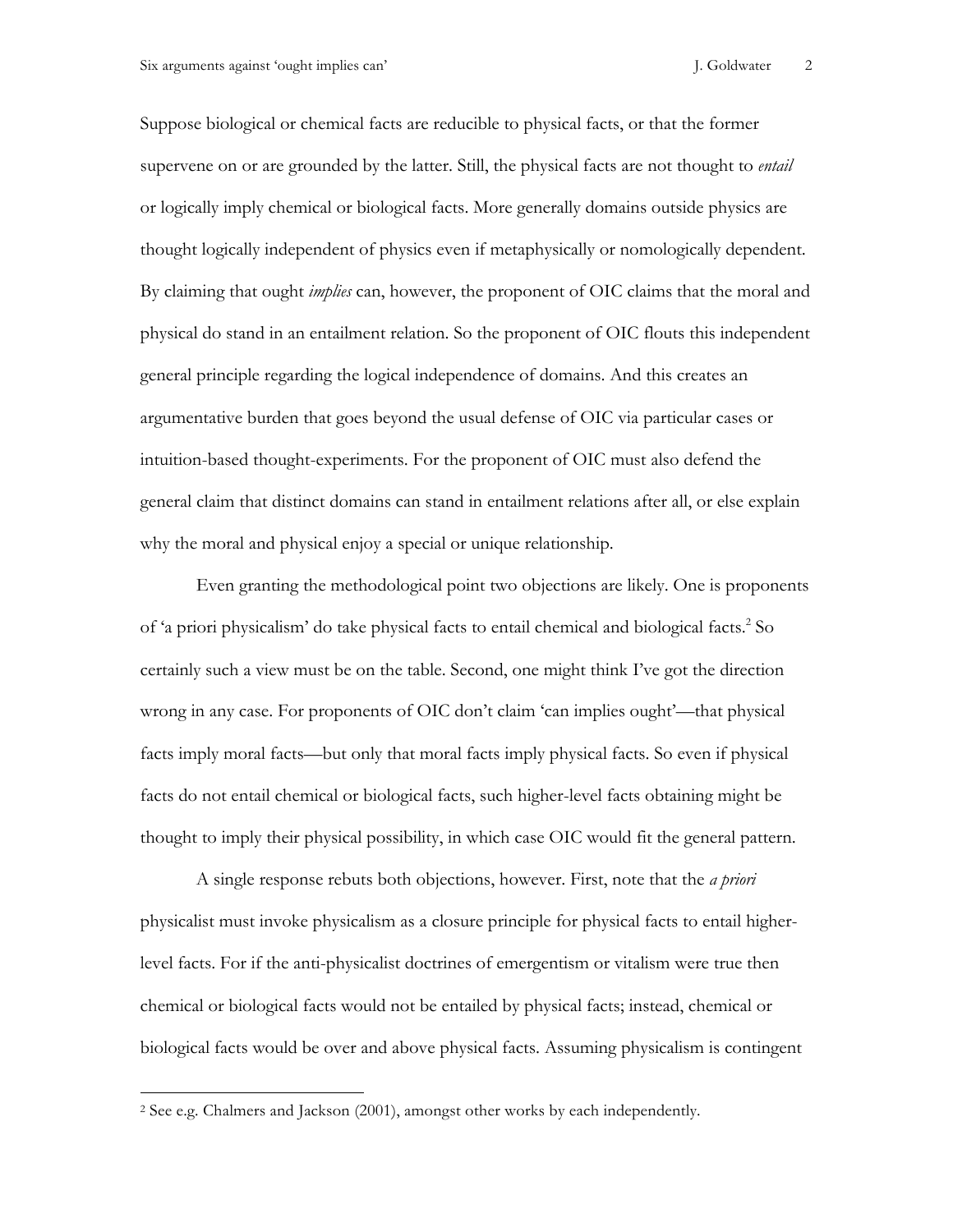Suppose biological or chemical facts are reducible to physical facts, or that the former supervene on or are grounded by the latter. Still, the physical facts are not thought to *entail* or logically imply chemical or biological facts. More generally domains outside physics are thought logically independent of physics even if metaphysically or nomologically dependent. By claiming that ought *implies* can, however, the proponent of OIC claims that the moral and physical do stand in an entailment relation. So the proponent of OIC flouts this independent general principle regarding the logical independence of domains. And this creates an argumentative burden that goes beyond the usual defense of OIC via particular cases or intuition-based thought-experiments. For the proponent of OIC must also defend the general claim that distinct domains can stand in entailment relations after all, or else explain why the moral and physical enjoy a special or unique relationship.

Even granting the methodological point two objections are likely. One is proponents of 'a priori physicalism' do take physical facts to entail chemical and biological facts. <sup>2</sup> So certainly such a view must be on the table. Second, one might think I've got the direction wrong in any case. For proponents of OIC don't claim 'can implies ought'—that physical facts imply moral facts—but only that moral facts imply physical facts. So even if physical facts do not entail chemical or biological facts, such higher-level facts obtaining might be thought to imply their physical possibility, in which case OIC would fit the general pattern.

A single response rebuts both objections, however. First, note that the *a priori* physicalist must invoke physicalism as a closure principle for physical facts to entail higherlevel facts. For if the anti-physicalist doctrines of emergentism or vitalism were true then chemical or biological facts would not be entailed by physical facts; instead, chemical or biological facts would be over and above physical facts. Assuming physicalism is contingent

 $\overline{a}$ 

<sup>2</sup> See e.g. Chalmers and Jackson (2001), amongst other works by each independently.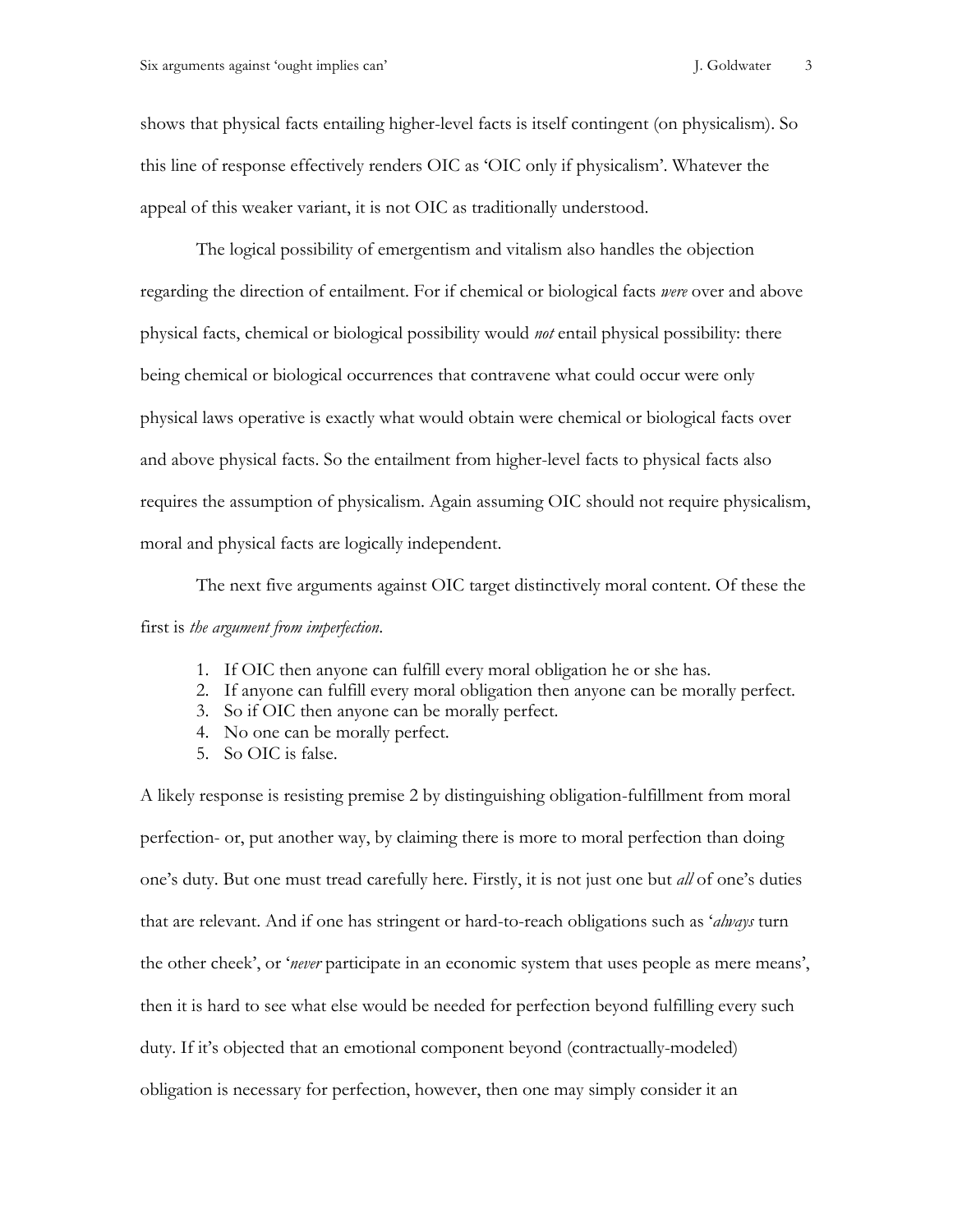shows that physical facts entailing higher-level facts is itself contingent (on physicalism). So this line of response effectively renders OIC as 'OIC only if physicalism'. Whatever the appeal of this weaker variant, it is not OIC as traditionally understood.

The logical possibility of emergentism and vitalism also handles the objection regarding the direction of entailment. For if chemical or biological facts *were* over and above physical facts, chemical or biological possibility would *not* entail physical possibility: there being chemical or biological occurrences that contravene what could occur were only physical laws operative is exactly what would obtain were chemical or biological facts over and above physical facts. So the entailment from higher-level facts to physical facts also requires the assumption of physicalism. Again assuming OIC should not require physicalism, moral and physical facts are logically independent.

The next five arguments against OIC target distinctively moral content. Of these the first is *the argument from imperfection*.

- 1. If OIC then anyone can fulfill every moral obligation he or she has.
- 2. If anyone can fulfill every moral obligation then anyone can be morally perfect.
- 3. So if OIC then anyone can be morally perfect.
- 4. No one can be morally perfect.
- 5. So OIC is false.

A likely response is resisting premise 2 by distinguishing obligation-fulfillment from moral perfection- or, put another way, by claiming there is more to moral perfection than doing one's duty. But one must tread carefully here. Firstly, it is not just one but *all* of one's duties that are relevant. And if one has stringent or hard-to-reach obligations such as '*always* turn the other cheek', or '*never* participate in an economic system that uses people as mere means', then it is hard to see what else would be needed for perfection beyond fulfilling every such duty. If it's objected that an emotional component beyond (contractually-modeled) obligation is necessary for perfection, however, then one may simply consider it an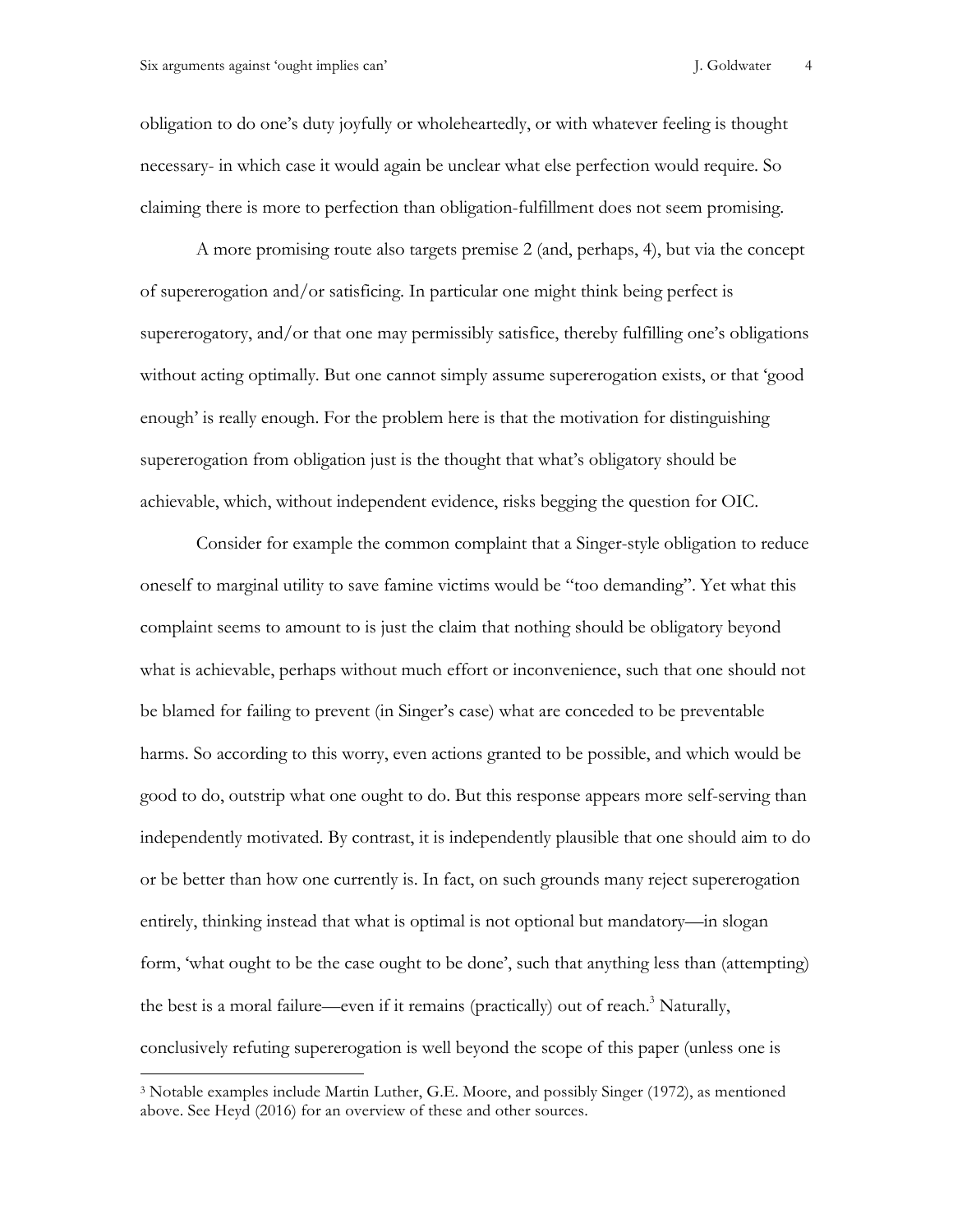$\overline{a}$ 

obligation to do one's duty joyfully or wholeheartedly, or with whatever feeling is thought necessary- in which case it would again be unclear what else perfection would require. So claiming there is more to perfection than obligation-fulfillment does not seem promising.

A more promising route also targets premise 2 (and, perhaps, 4), but via the concept of supererogation and/or satisficing. In particular one might think being perfect is supererogatory, and/or that one may permissibly satisfice, thereby fulfilling one's obligations without acting optimally. But one cannot simply assume supererogation exists, or that 'good enough' is really enough. For the problem here is that the motivation for distinguishing supererogation from obligation just is the thought that what's obligatory should be achievable, which, without independent evidence, risks begging the question for OIC.

Consider for example the common complaint that a Singer-style obligation to reduce oneself to marginal utility to save famine victims would be "too demanding". Yet what this complaint seems to amount to is just the claim that nothing should be obligatory beyond what is achievable, perhaps without much effort or inconvenience, such that one should not be blamed for failing to prevent (in Singer's case) what are conceded to be preventable harms. So according to this worry, even actions granted to be possible, and which would be good to do, outstrip what one ought to do. But this response appears more self-serving than independently motivated. By contrast, it is independently plausible that one should aim to do or be better than how one currently is. In fact, on such grounds many reject supererogation entirely, thinking instead that what is optimal is not optional but mandatory—in slogan form, 'what ought to be the case ought to be done', such that anything less than (attempting) the best is a moral failure—even if it remains (practically) out of reach.<sup>3</sup> Naturally, conclusively refuting supererogation is well beyond the scope of this paper (unless one is

<sup>3</sup> Notable examples include Martin Luther, G.E. Moore, and possibly Singer (1972), as mentioned above. See Heyd (2016) for an overview of these and other sources.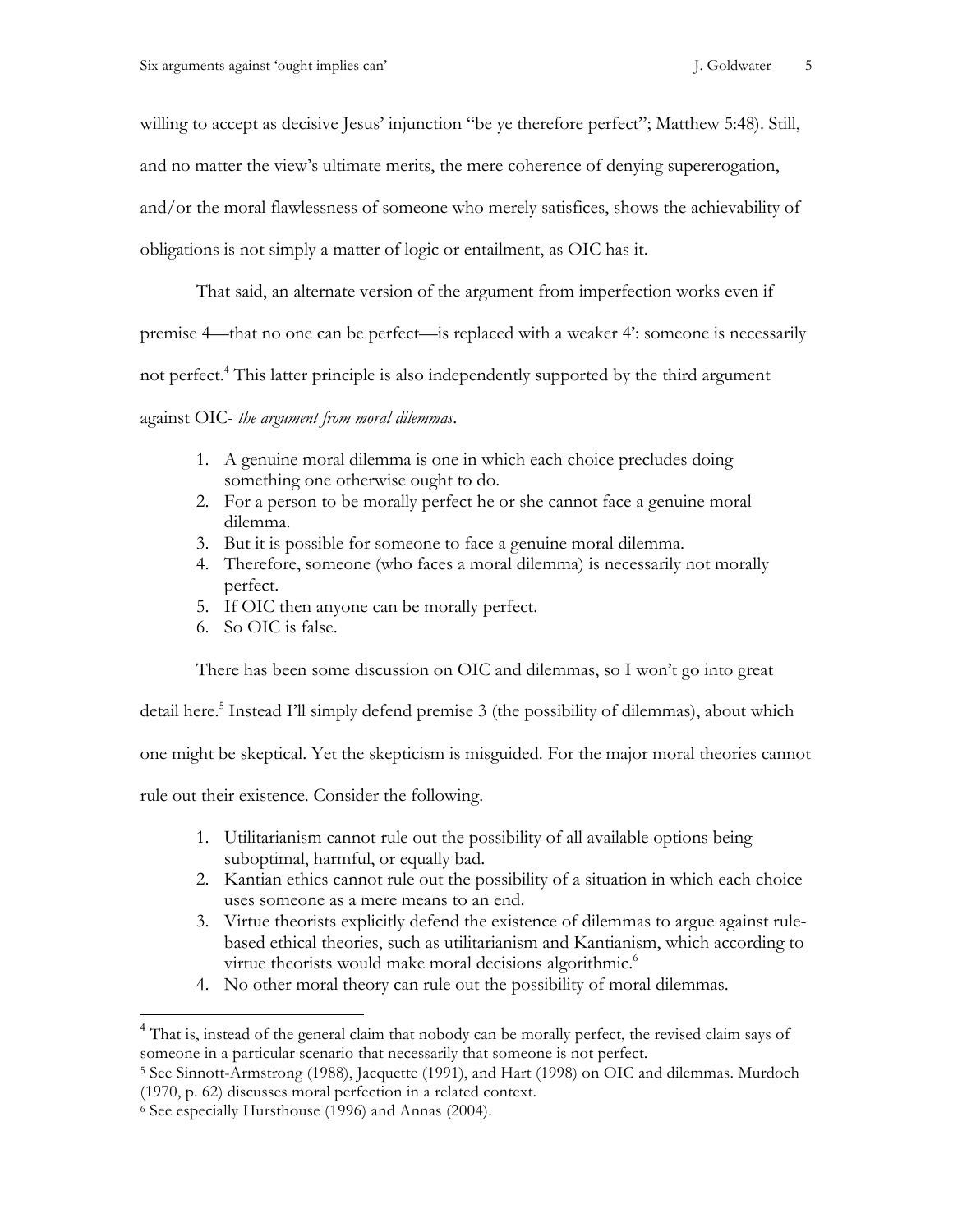willing to accept as decisive Jesus' injunction "be ye therefore perfect"; Matthew 5:48). Still,

and no matter the view's ultimate merits, the mere coherence of denying supererogation,

and/or the moral flawlessness of someone who merely satisfices, shows the achievability of

obligations is not simply a matter of logic or entailment, as OIC has it.

That said, an alternate version of the argument from imperfection works even if

premise 4—that no one can be perfect—is replaced with a weaker 4': someone is necessarily

not perfect.<sup>4</sup> This latter principle is also independently supported by the third argument

against OIC- *the argument from moral dilemmas*.

- 1. A genuine moral dilemma is one in which each choice precludes doing something one otherwise ought to do.
- 2. For a person to be morally perfect he or she cannot face a genuine moral dilemma.
- 3. But it is possible for someone to face a genuine moral dilemma.
- 4. Therefore, someone (who faces a moral dilemma) is necessarily not morally perfect.
- 5. If OIC then anyone can be morally perfect.
- 6. So OIC is false.

There has been some discussion on OIC and dilemmas, so I won't go into great

detail here.<sup>5</sup> Instead I'll simply defend premise 3 (the possibility of dilemmas), about which

one might be skeptical. Yet the skepticism is misguided. For the major moral theories cannot

rule out their existence. Consider the following.

- 1. Utilitarianism cannot rule out the possibility of all available options being suboptimal, harmful, or equally bad.
- 2. Kantian ethics cannot rule out the possibility of a situation in which each choice uses someone as a mere means to an end.
- 3. Virtue theorists explicitly defend the existence of dilemmas to argue against rulebased ethical theories, such as utilitarianism and Kantianism, which according to virtue theorists would make moral decisions algorithmic.<sup>6</sup>
- 4. No other moral theory can rule out the possibility of moral dilemmas.

<sup>&</sup>lt;sup>4</sup> That is, instead of the general claim that nobody can be morally perfect, the revised claim says of someone in a particular scenario that necessarily that someone is not perfect.

<sup>5</sup> See Sinnott-Armstrong (1988), Jacquette (1991), and Hart (1998) on OIC and dilemmas. Murdoch (1970, p. 62) discusses moral perfection in a related context.

<sup>6</sup> See especially Hursthouse (1996) and Annas (2004).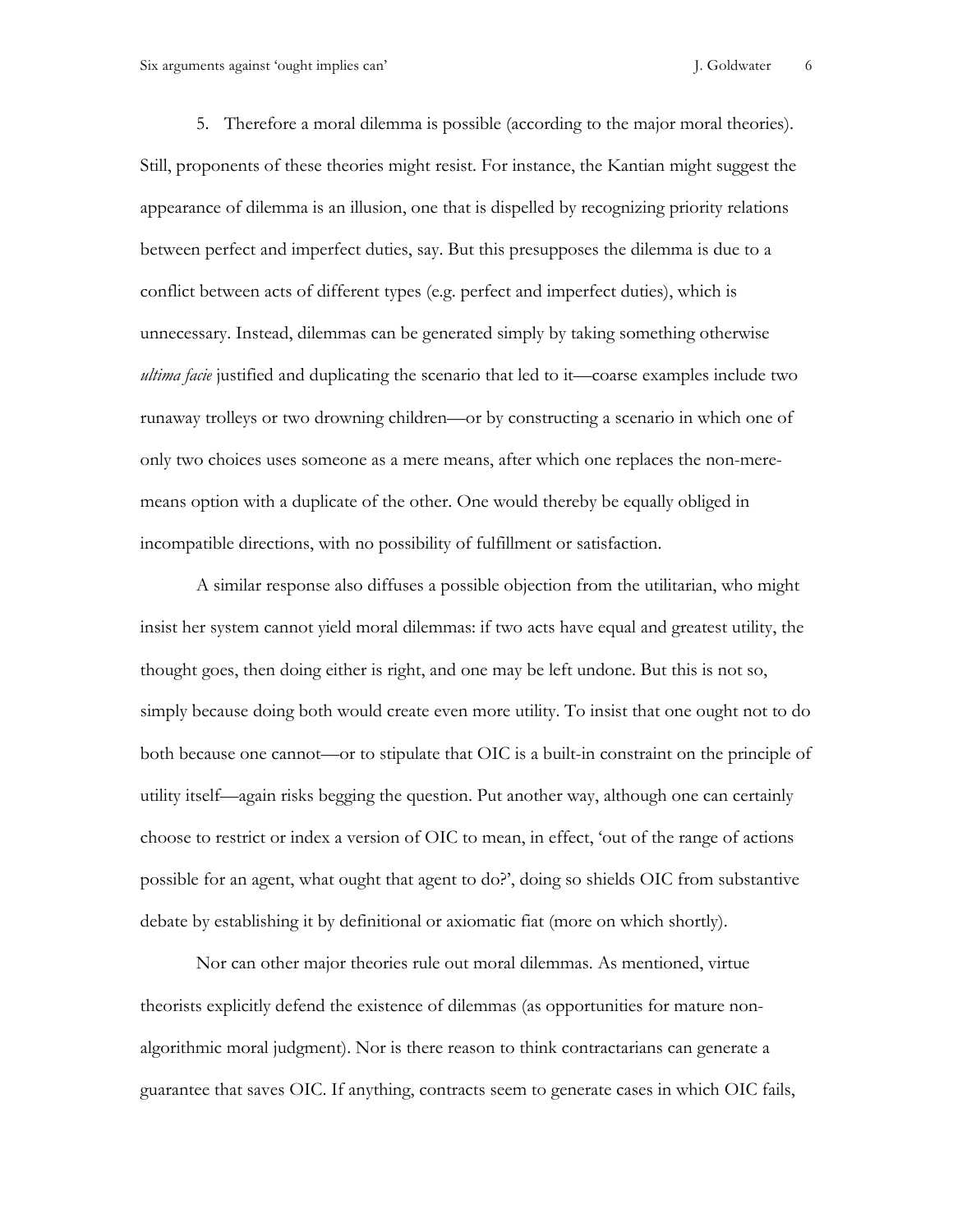Six arguments against 'ought implies can' J. Goldwater 6

5. Therefore a moral dilemma is possible (according to the major moral theories). Still, proponents of these theories might resist. For instance, the Kantian might suggest the appearance of dilemma is an illusion, one that is dispelled by recognizing priority relations between perfect and imperfect duties, say. But this presupposes the dilemma is due to a conflict between acts of different types (e.g. perfect and imperfect duties), which is unnecessary. Instead, dilemmas can be generated simply by taking something otherwise *ultima facie* justified and duplicating the scenario that led to it—coarse examples include two runaway trolleys or two drowning children—or by constructing a scenario in which one of only two choices uses someone as a mere means, after which one replaces the non-meremeans option with a duplicate of the other. One would thereby be equally obliged in incompatible directions, with no possibility of fulfillment or satisfaction.

A similar response also diffuses a possible objection from the utilitarian, who might insist her system cannot yield moral dilemmas: if two acts have equal and greatest utility, the thought goes, then doing either is right, and one may be left undone. But this is not so, simply because doing both would create even more utility. To insist that one ought not to do both because one cannot—or to stipulate that OIC is a built-in constraint on the principle of utility itself—again risks begging the question. Put another way, although one can certainly choose to restrict or index a version of OIC to mean, in effect, 'out of the range of actions possible for an agent, what ought that agent to do?', doing so shields OIC from substantive debate by establishing it by definitional or axiomatic fiat (more on which shortly).

Nor can other major theories rule out moral dilemmas. As mentioned, virtue theorists explicitly defend the existence of dilemmas (as opportunities for mature nonalgorithmic moral judgment). Nor is there reason to think contractarians can generate a guarantee that saves OIC. If anything, contracts seem to generate cases in which OIC fails,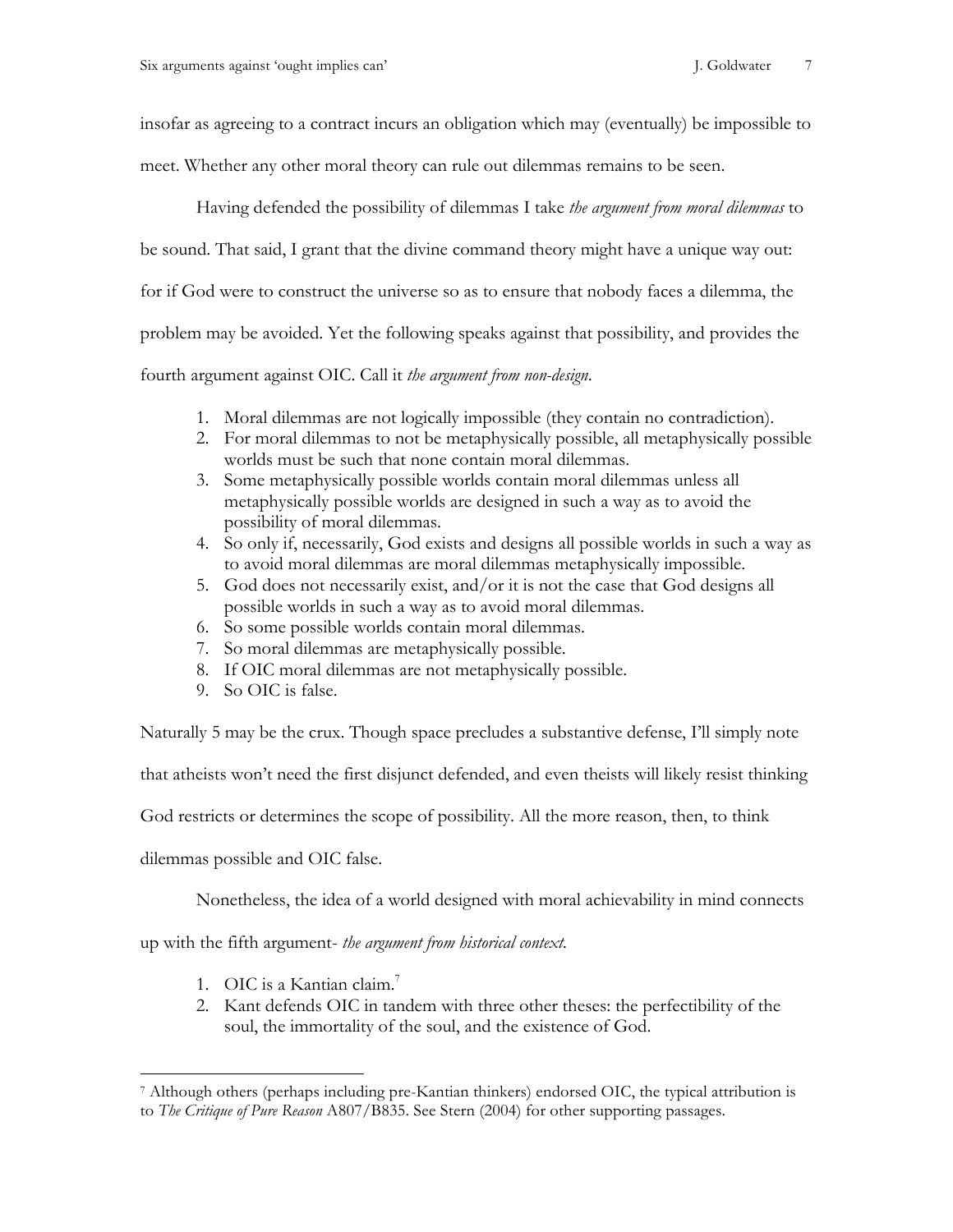insofar as agreeing to a contract incurs an obligation which may (eventually) be impossible to

meet. Whether any other moral theory can rule out dilemmas remains to be seen.

Having defended the possibility of dilemmas I take *the argument from moral dilemmas* to be sound. That said, I grant that the divine command theory might have a unique way out: for if God were to construct the universe so as to ensure that nobody faces a dilemma, the problem may be avoided. Yet the following speaks against that possibility, and provides the

fourth argument against OIC. Call it *the argument from non-design*.

- 1. Moral dilemmas are not logically impossible (they contain no contradiction).
- 2. For moral dilemmas to not be metaphysically possible, all metaphysically possible worlds must be such that none contain moral dilemmas.
- 3. Some metaphysically possible worlds contain moral dilemmas unless all metaphysically possible worlds are designed in such a way as to avoid the possibility of moral dilemmas.
- 4. So only if, necessarily, God exists and designs all possible worlds in such a way as to avoid moral dilemmas are moral dilemmas metaphysically impossible.
- 5. God does not necessarily exist, and/or it is not the case that God designs all possible worlds in such a way as to avoid moral dilemmas.
- 6. So some possible worlds contain moral dilemmas.
- 7. So moral dilemmas are metaphysically possible.
- 8. If OIC moral dilemmas are not metaphysically possible.
- 9. So OIC is false.

Naturally 5 may be the crux. Though space precludes a substantive defense, I'll simply note

that atheists won't need the first disjunct defended, and even theists will likely resist thinking

God restricts or determines the scope of possibility. All the more reason, then, to think

dilemmas possible and OIC false.

 $\overline{a}$ 

Nonetheless, the idea of a world designed with moral achievability in mind connects

up with the fifth argument- *the argument from historical context.*

- 1. OIC is a Kantian claim.<sup>7</sup>
- 2. Kant defends OIC in tandem with three other theses: the perfectibility of the soul, the immortality of the soul, and the existence of God.

<sup>7</sup> Although others (perhaps including pre-Kantian thinkers) endorsed OIC, the typical attribution is to *The Critique of Pure Reason* A807/B835. See Stern (2004) for other supporting passages.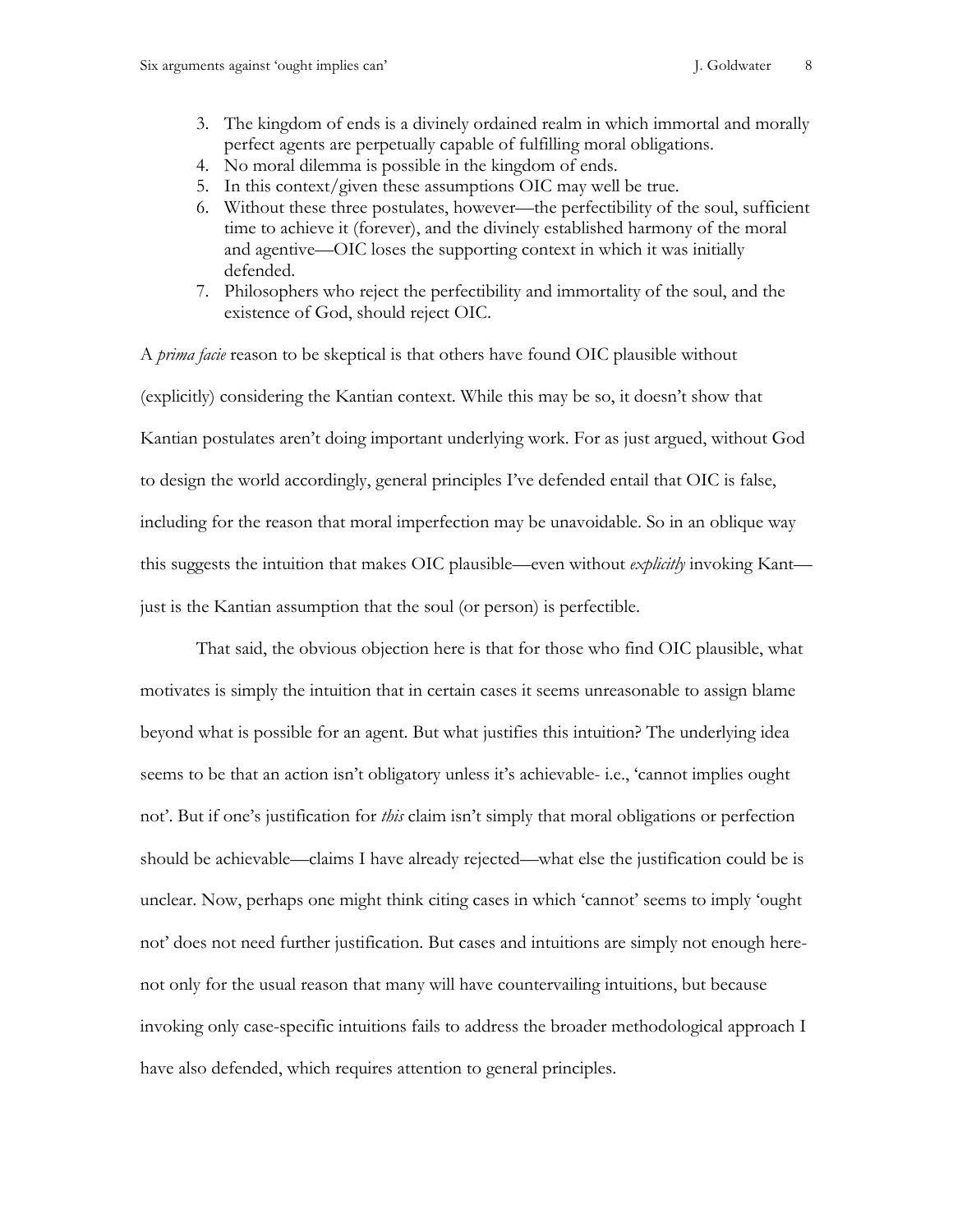- 3. The kingdom of ends is a divinely ordained realm in which immortal and morally perfect agents are perpetually capable of fulfilling moral obligations.
- 4. No moral dilemma is possible in the kingdom of ends.
- 5. In this context/given these assumptions OIC may well be true.
- 6. Without these three postulates, however—the perfectibility of the soul, sufficient time to achieve it (forever), and the divinely established harmony of the moral and agentive—OIC loses the supporting context in which it was initially defended.
- 7. Philosophers who reject the perfectibility and immortality of the soul, and the existence of God, should reject OIC.

A *prima facie* reason to be skeptical is that others have found OIC plausible without (explicitly) considering the Kantian context. While this may be so, it doesn't show that Kantian postulates aren't doing important underlying work. For as just argued, without God to design the world accordingly, general principles I've defended entail that OIC is false, including for the reason that moral imperfection may be unavoidable. So in an oblique way this suggests the intuition that makes OIC plausible—even without *explicitly* invoking Kant just is the Kantian assumption that the soul (or person) is perfectible.

That said, the obvious objection here is that for those who find OIC plausible, what motivates is simply the intuition that in certain cases it seems unreasonable to assign blame beyond what is possible for an agent. But what justifies this intuition? The underlying idea seems to be that an action isn't obligatory unless it's achievable- i.e., 'cannot implies ought not'. But if one's justification for *this* claim isn't simply that moral obligations or perfection should be achievable—claims I have already rejected—what else the justification could be is unclear. Now, perhaps one might think citing cases in which 'cannot' seems to imply 'ought not' does not need further justification. But cases and intuitions are simply not enough herenot only for the usual reason that many will have countervailing intuitions, but because invoking only case-specific intuitions fails to address the broader methodological approach I have also defended, which requires attention to general principles.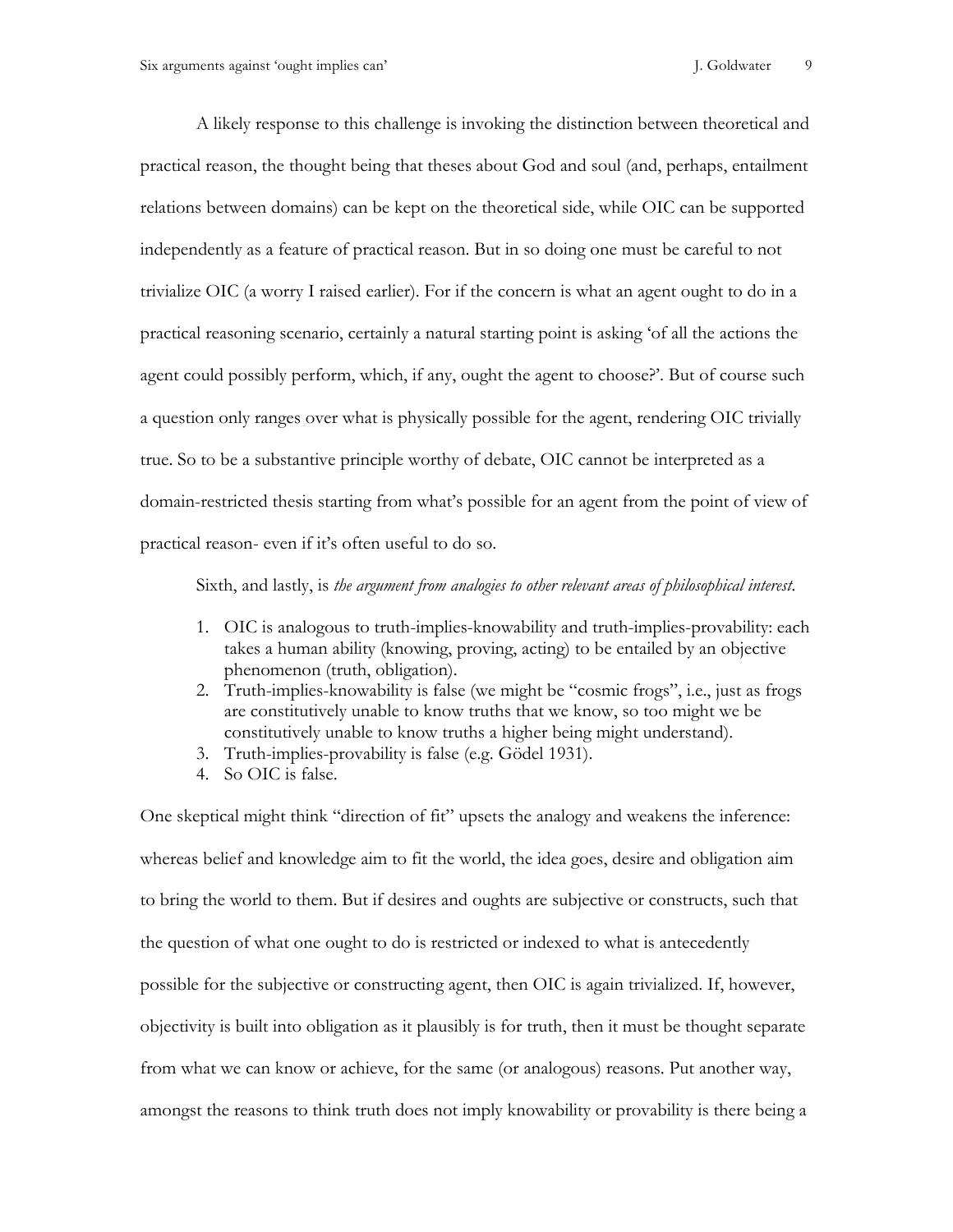A likely response to this challenge is invoking the distinction between theoretical and practical reason, the thought being that theses about God and soul (and, perhaps, entailment relations between domains) can be kept on the theoretical side, while OIC can be supported independently as a feature of practical reason. But in so doing one must be careful to not trivialize OIC (a worry I raised earlier). For if the concern is what an agent ought to do in a practical reasoning scenario, certainly a natural starting point is asking 'of all the actions the agent could possibly perform, which, if any, ought the agent to choose?'. But of course such a question only ranges over what is physically possible for the agent, rendering OIC trivially true. So to be a substantive principle worthy of debate, OIC cannot be interpreted as a domain-restricted thesis starting from what's possible for an agent from the point of view of practical reason- even if it's often useful to do so.

Sixth, and lastly, is *the argument from analogies to other relevant areas of philosophical interest*.

- 1. OIC is analogous to truth-implies-knowability and truth-implies-provability: each takes a human ability (knowing, proving, acting) to be entailed by an objective phenomenon (truth, obligation).
- 2. Truth-implies-knowability is false (we might be "cosmic frogs", i.e., just as frogs are constitutively unable to know truths that we know, so too might we be constitutively unable to know truths a higher being might understand).
- 3. Truth-implies-provability is false (e.g. Gödel 1931).
- 4. So OIC is false.

One skeptical might think "direction of fit" upsets the analogy and weakens the inference: whereas belief and knowledge aim to fit the world, the idea goes, desire and obligation aim to bring the world to them. But if desires and oughts are subjective or constructs, such that the question of what one ought to do is restricted or indexed to what is antecedently possible for the subjective or constructing agent, then OIC is again trivialized. If, however, objectivity is built into obligation as it plausibly is for truth, then it must be thought separate from what we can know or achieve, for the same (or analogous) reasons. Put another way, amongst the reasons to think truth does not imply knowability or provability is there being a